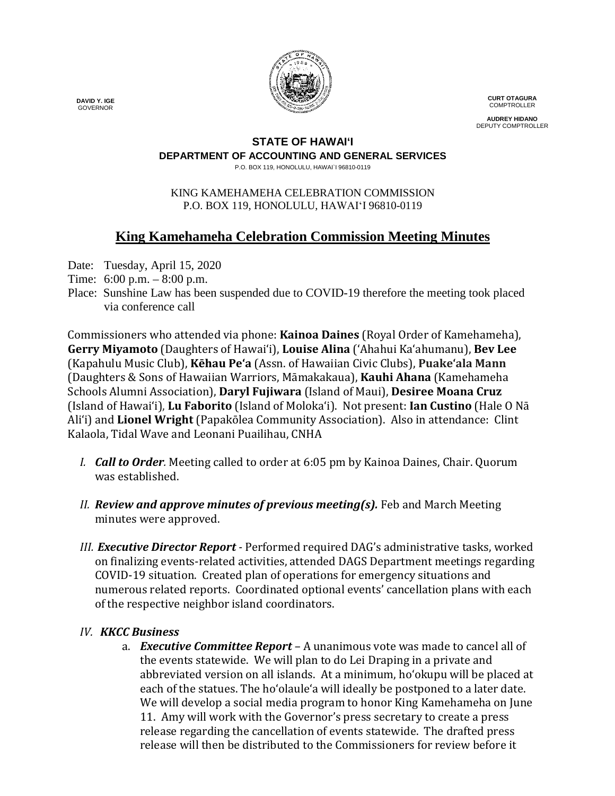

**CURT OTAGURA COMPTROLLER** 

**AUDREY HIDANO** DEPUTY COMPTROLLER

### **STATE OF HAWAI'I**

## **DEPARTMENT OF ACCOUNTING AND GENERAL SERVICES**

P.O. BOX 119, HONOLULU, HAWAI`I 96810-0119

#### KING KAMEHAMEHA CELEBRATION COMMISSION P.O. BOX 119, HONOLULU, HAWAIʻI 96810-0119

# **King Kamehameha Celebration Commission Meeting Minutes**

Date: Tuesday, April 15, 2020

- Time: 6:00 p.m. 8:00 p.m.
- Place: Sunshine Law has been suspended due to COVID-19 therefore the meeting took placed via conference call

Commissioners who attended via phone: **Kainoa Daines** (Royal Order of Kamehameha), **Gerry Miyamoto** (Daughters of Hawai'i), **Louise Alina** ('Ahahui Ka'ahumanu), **Bev Lee** (Kapahulu Music Club), **Kēhau Pe'a** (Assn. of Hawaiian Civic Clubs), **Puakeʻala Mann** (Daughters & Sons of Hawaiian Warriors, Māmakakaua), **Kauhi Ahana** (Kamehameha Schools Alumni Association), **Daryl Fujiwara** (Island of Maui), **Desiree Moana Cruz** (Island of Hawai'i), **Lu Faborito** (Island of Moloka'i). Not present: **Ian Custino** (Hale O Nā Ali'i) and **Lionel Wright** (Papakōlea Community Association). Also in attendance: Clint Kalaola, Tidal Wave and Leonani Puailihau, CNHA

- *I. Call to Order.* Meeting called to order at 6:05 pm by Kainoa Daines, Chair. Quorum was established.
- *II. Review and approve minutes of previous meeting(s).* Feb and March Meeting minutes were approved.
- *III. Executive Director Report -* Performed required DAG's administrative tasks, worked on finalizing events-related activities, attended DAGS Department meetings regarding COVID-19 situation. Created plan of operations for emergency situations and numerous related reports. Coordinated optional events' cancellation plans with each of the respective neighbor island coordinators.

# *IV. KKCC Business*

a. *Executive Committee Report –* A unanimous vote was made to cancel all of the events statewide. We will plan to do Lei Draping in a private and abbreviated version on all islands. At a minimum, ho'okupu will be placed at each of the statues. The ho'olaule'a will ideally be postponed to a later date. We will develop a social media program to honor King Kamehameha on June 11. Amy will work with the Governor's press secretary to create a press release regarding the cancellation of events statewide. The drafted press release will then be distributed to the Commissioners for review before it

 **DAVID Y. IGE** GOVERNOR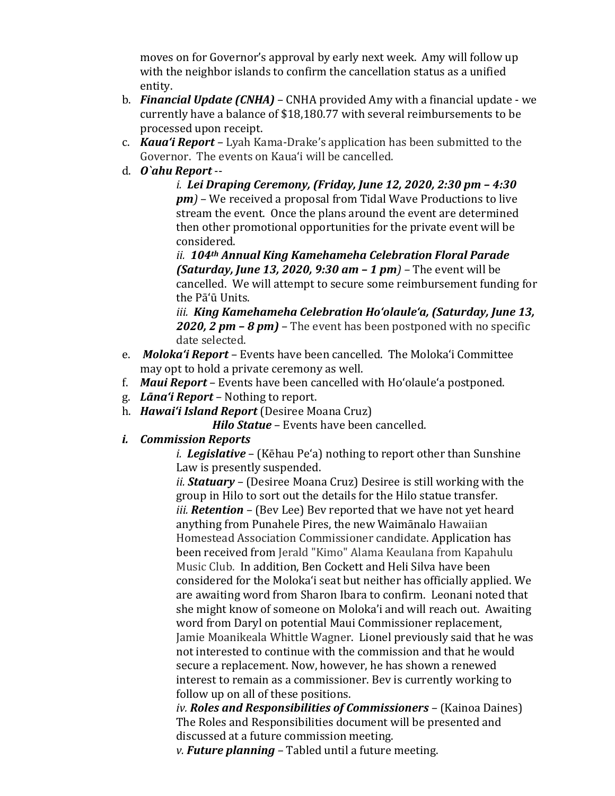moves on for Governor's approval by early next week. Amy will follow up with the neighbor islands to confirm the cancellation status as a unified entity.

- b. *Financial Update (CNHA)* CNHA provided Amy with a financial update we currently have a balance of \$18,180.77 with several reimbursements to be processed upon receipt.
- c. *Kaua'i Report –* Lyah Kama-Drake's application has been submitted to the Governor. The events on Kaua'i will be cancelled.
- d. *O`ahu Report* --

*i. Lei Draping Ceremony, (Friday, June 12, 2020, 2:30 pm – 4:30 pm)* – We received a proposal from Tidal Wave Productions to live stream the event. Once the plans around the event are determined then other promotional opportunities for the private event will be considered.

*ii. 104th Annual King Kamehameha Celebration Floral Parade (Saturday, June 13, 2020, 9:30 am – 1 pm) –* The event will be cancelled. We will attempt to secure some reimbursement funding for the Pā'ū Units.

*iii. King Kamehameha Celebration Ho'olaule'a, (Saturday, June 13, 2020, 2 pm – 8 pm)* – The event has been postponed with no specific date selected.

- e. *Moloka'i Report* Events have been cancelled. The Moloka'i Committee may opt to hold a private ceremony as well.
- f. *Maui Report* Events have been cancelled with Ho'olaule'a postponed.
- g. *Lāna'i Report* Nothing to report.
- h. *Hawai'i Island Report* (Desiree Moana Cruz)

**Hilo Statue** – Events have been cancelled.

## *i. Commission Reports*

*i. i. Legislative* – (Kēhau Pe'a) nothing to report other than Sunshine Law is presently suspended.

*ii. Statuary –* (Desiree Moana Cruz) Desiree is still working with the group in Hilo to sort out the details for the Hilo statue transfer. *iii. Retention –* (Bev Lee) Bev reported that we have not yet heard anything from Punahele Pires, the new Waimānalo Hawaiian Homestead Association Commissioner candidate. Application has been received from Jerald "Kimo" Alama Keaulana from Kapahulu Music Club. In addition, Ben Cockett and Heli Silva have been considered for the Moloka'i seat but neither has officially applied. We are awaiting word from Sharon Ibara to confirm. Leonani noted that she might know of someone on Moloka'i and will reach out. Awaiting word from Daryl on potential Maui Commissioner replacement, Jamie Moanikeala Whittle Wagner. Lionel previously said that he was not interested to continue with the commission and that he would secure a replacement. Now, however, he has shown a renewed interest to remain as a commissioner. Bev is currently working to follow up on all of these positions.

*ii. iv. Roles and Responsibilities of Commissioners –* (Kainoa Daines) The Roles and Responsibilities document will be presented and discussed at a future commission meeting.

*iii. v. Future planning –* Tabled until a future meeting.